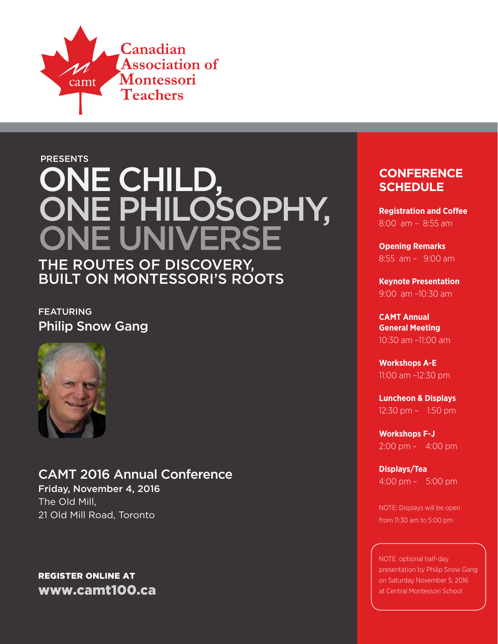

# **PRESENTS** ONE CHILD, ONE PHILOSOPHY, ONE UNIVE

The Routes of Discovery, Built on Montessori's Roots

**FEATURING** Philip Snow Gang



# CAMT 2016 Annual Conference

Friday, November 4, 2016 The Old Mill, 21 Old Mill Road, Toronto

# Register Online at www.camt100.ca

# **CONFERENCE SCHEDULE**

**Registration and Coffee** 8:00 am – 8:55 am

**Opening Remarks** 8:55 am – 9:00 am

**Keynote Presentation** 9:00 am –10:30 am

**CAMT Annual General Meeting** 10:30 am –11:00 am

**Workshops A-E** 11:00 am –12:30 pm

**Luncheon & Displays** 12:30 pm – 1:50 pm

**Workshops F-J** 2:00 pm – 4:00 pm

**Displays/Tea** 4:00 pm – 5:00 pm

NOTE: Displays will be open from 11:30 am to 5:00 pm

NOTE: optional half-day presentation by Philip Snow Gang on Saturday November 5, 2016 at Central Montessori School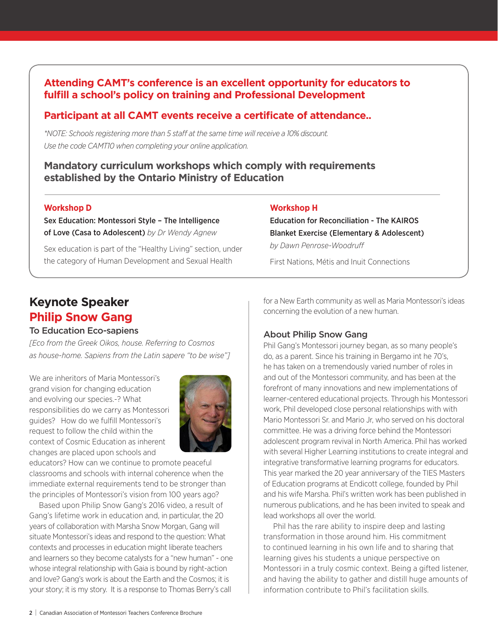## **Attending CAMT's conference is an excellent opportunity for educators to fulfill a school's policy on training and Professional Development**

# **Participant at all CAMT events receive a certificate of attendance..**

*\*NOTE: Schools registering more than 5 staff at the same time will receive a 10% discount. Use the code CAMT10 when completing your online application.*

#### **Mandatory curriculum workshops which comply with requirements established by the Ontario Ministry of Education**

#### **Workshop D**

Sex Education: Montessori Style – The Intelligence of Love (Casa to Adolescent) *by Dr Wendy Agnew*

Sex education is part of the "Healthy Living" section, under the category of Human Development and Sexual Health

#### **Workshop H**

Education for Reconciliation - The KAIROS Blanket Exercise (Elementary & Adolescent) *by Dawn Penrose-Woodruff*

First Nations, Métis and Inuit Connections

# **Keynote Speaker Philip Snow Gang**

#### To Education Eco-sapiens

*[Eco from the Greek Oikos, house. Referring to Cosmos as house-home. Sapiens from the Latin sapere "to be wise"]*

We are inheritors of Maria Montessori's grand vision for changing education and evolving our species.-? What responsibilities do we carry as Montessori guides? How do we fulfill Montessori's request to follow the child within the context of Cosmic Education as inherent changes are placed upon schools and



educators? How can we continue to promote peaceful classrooms and schools with internal coherence when the immediate external requirements tend to be stronger than the principles of Montessori's vision from 100 years ago?

Based upon Philip Snow Gang's 2016 video, a result of Gang's lifetime work in education and, in particular, the 20 years of collaboration with Marsha Snow Morgan, Gang will situate Montessori's ideas and respond to the question: What contexts and processes in education might liberate teachers and learners so they become catalysts for a "new human" - one whose integral relationship with Gaia is bound by right-action and love? Gang's work is about the Earth and the Cosmos; it is your story; it is my story. It is a response to Thomas Berry's call

for a New Earth community as well as Maria Montessori's ideas concerning the evolution of a new human.

#### About Philip Snow Gang

Phil Gang's Montessori journey began, as so many people's do, as a parent. Since his training in Bergamo int he 70's, he has taken on a tremendously varied number of roles in and out of the Montessori community, and has been at the forefront of many innovations and new implementations of learner-centered educational projects. Through his Montessori work, Phil developed close personal relationships with with Mario Montessori Sr. and Mario Jr, who served on his doctoral committee. He was a driving force behind the Montessori adolescent program revival in North America. Phil has worked with several Higher Learning institutions to create integral and integrative transformative learning programs for educators. This year marked the 20 year anniversary of the TIES Masters of Education programs at Endicott college, founded by Phil and his wife Marsha. Phil's written work has been published in numerous publications, and he has been invited to speak and lead workshops all over the world.

Phil has the rare ability to inspire deep and lasting transformation in those around him. His commitment to continued learning in his own life and to sharing that learning gives his students a unique perspective on Montessori in a truly cosmic context. Being a gifted listener, and having the ability to gather and distill huge amounts of information contribute to Phil's facilitation skills.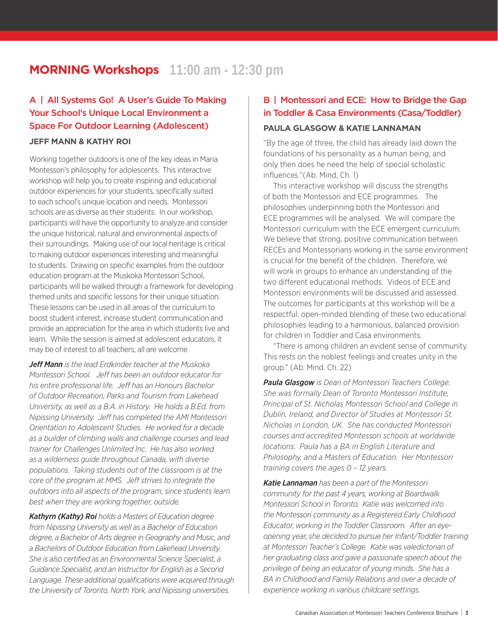# **MORNING Workshops** 11:00 am - 12:30 pm

## A | All Systems Go! A User's Guide To Making Your School's Unique Local Environment a Space For Outdoor Learning (Adolescent)

#### **Jeff Mann & Kathy Roi**

Working together outdoors is one of the key ideas in Maria Montessori's philosophy for adolescents. This interactive workshop will help you to create inspiring and educational outdoor experiences for your students, specifically suited to each school's unique location and needs. Montessori schools are as diverse as their students. In our workshop, participants will have the opportunity to analyze and consider the unique historical, natural and environmental aspects of their surroundings. Making use of our local heritage is critical to making outdoor experiences interesting and meaningful to students. Drawing on specific examples from the outdoor education program at the Muskoka Montessori School, participants will be walked through a framework for developing themed units and specific lessons for their unique situation. These lessons can be used in all areas of the curriculum to boost student interest, increase student communication and provide an appreciation for the area in which students live and learn. While the session is aimed at adolescent educators, it may be of interest to all teachers; all are welcome

*Jeff Mann is the lead Erdkinder teacher at the Muskoka Montessori School. Jeff has been an outdoor educator for his entire professional life. Jeff has an Honours Bachelor of Outdoor Recreation, Parks and Tourism from Lakehead University, as well as a B.A. in History. He holds a B.Ed. from Nipissing University. Jeff has completed the AMI Montessori Orientation to Adolescent Studies. He worked for a decade as a builder of climbing walls and challenge courses and lead trainer for Challenges Unlimited Inc. He has also worked as a wilderness guide throughout Canada, with diverse populations. Taking students out of the classroom is at the core of the program at MMS. Jeff strives to integrate the outdoors into all aspects of the program, since students learn best when they are working together, outside.*

*Kathyrn (Kathy) Roi holds a Masters of Education degree from Nipissing University as well as a Bachelor of Education degree, a Bachelor of Arts degree in Geography and Music, and a Bachelors of Outdoor Education from Lakehead University. She is also certified as an Environmental Science Specialist, a Guidance Specialist, and an Instructor for English as a Second Language. These additional qualifications were acquired through the University of Toronto, North York, and Nipissing universities.*

### B | Montessori and ECE: How to Bridge the Gap in Toddler & Casa Environments (Casa/Toddler) **Paula Glasgow & Katie Lannaman**

"By the age of three, the child has already laid down the foundations of his personality as a human being, and only then does he need the help of special scholastic influences."(Ab. Mind, Ch. 1)

This interactive workshop will discuss the strengths of both the Montessori and ECE programmes. The philosophies underpinning both the Montessori and ECE programmes will be analysed. We will compare the Montessori curriculum with the ECE emergent curriculum. We believe that strong, positive communication between RECEs and Montessorians working in the same environment is crucial for the benefit of the children. Therefore, we will work in groups to enhance an understanding of the two different educational methods. Videos of ECE and Montessori environments will be discussed and assessed. The outcomes for participants at this workshop will be a respectful, open-minded blending of these two educational philosophies leading to a harmonious, balanced provision for children in Toddler and Casa environments.

"There is among children an evident sense of community. This rests on the noblest feelings and creates unity in the group." (Ab. Mind. Ch. 22)

*Paula Glasgow is Dean of Montessori Teachers College. She was formally Dean of Toronto Montessori Institute, Principal of St. Nicholas Montessori School and College in Dublin, Ireland, and Director of Studies at Montessori St. Nicholas in London, UK. She has conducted Montessori courses and accredited Montessori schools at worldwide locations. Paula has a BA in English Literature and Philosophy, and a Masters of Education. Her Montessori training covers the ages 0 – 12 years.*

*Katie Lannaman has been a part of the Montessori community for the past 4 years, working at Boardwalk Montessori School in Toronto. Katie was welcomed into the Montessori community as a Registered Early Childhood Educator, working in the Toddler Classroom. After an eyeopening year, she decided to pursue her Infant/Toddler training at Montessori Teacher's College. Katie was valedictorian of her graduating class and gave a passionate speech about the privilege of being an educator of young minds. She has a BA in Childhood and Family Relations and over a decade of experience working in various childcare settings.*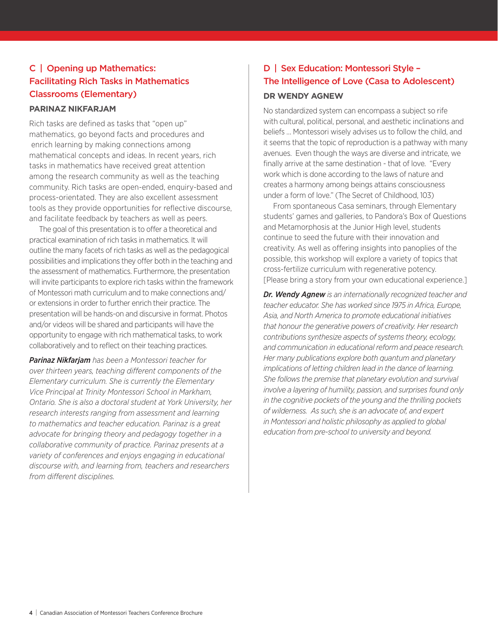# C | Opening up Mathematics: Facilitating Rich Tasks in Mathematics Classrooms (Elementary)

#### **Parinaz Nikfarjam**

Rich tasks are defined as tasks that "open up" mathematics, go beyond facts and procedures and enrich learning by making connections among mathematical concepts and ideas. In recent years, rich tasks in mathematics have received great attention among the research community as well as the teaching community. Rich tasks are open-ended, enquiry-based and process-orientated. They are also excellent assessment tools as they provide opportunities for reflective discourse, and facilitate feedback by teachers as well as peers.

The goal of this presentation is to offer a theoretical and practical examination of rich tasks in mathematics. It will outline the many facets of rich tasks as well as the pedagogical possibilities and implications they offer both in the teaching and the assessment of mathematics. Furthermore, the presentation will invite participants to explore rich tasks within the framework of Montessori math curriculum and to make connections and/ or extensions in order to further enrich their practice. The presentation will be hands-on and discursive in format. Photos and/or videos will be shared and participants will have the opportunity to engage with rich mathematical tasks, to work collaboratively and to reflect on their teaching practices.

*Parinaz Nikfarjam has been a Montessori teacher for over thirteen years, teaching different components of the Elementary curriculum. She is currently the Elementary Vice Principal at Trinity Montessori School in Markham, Ontario. She is also a doctoral student at York University, her research interests ranging from assessment and learning to mathematics and teacher education. Parinaz is a great advocate for bringing theory and pedagogy together in a collaborative community of practice. Parinaz presents at a variety of conferences and enjoys engaging in educational discourse with, and learning from, teachers and researchers from different disciplines.*

# D | Sex Education: Montessori Style – The Intelligence of Love (Casa to Adolescent)

#### **Dr Wendy Agnew**

No standardized system can encompass a subject so rife with cultural, political, personal, and aesthetic inclinations and beliefs … Montessori wisely advises us to follow the child, and it seems that the topic of reproduction is a pathway with many avenues. Even though the ways are diverse and intricate, we finally arrive at the same destination - that of love. "Every work which is done according to the laws of nature and creates a harmony among beings attains consciousness under a form of love." (The Secret of Childhood, 103)

From spontaneous Casa seminars, through Elementary students' games and galleries, to Pandora's Box of Questions and Metamorphosis at the Junior High level, students continue to seed the future with their innovation and creativity. As well as offering insights into panoplies of the possible, this workshop will explore a variety of topics that cross-fertilize curriculum with regenerative potency. [Please bring a story from your own educational experience.]

*Dr. Wendy Agnew is an internationally recognized teacher and teacher educator. She has worked since 1975 in Africa, Europe, Asia, and North America to promote educational initiatives that honour the generative powers of creativity. Her research contributions synthesize aspects of systems theory, ecology, and communication in educational reform and peace research. Her many publications explore both quantum and planetary implications of letting children lead in the dance of learning. She follows the premise that planetary evolution and survival involve a layering of humility, passion, and surprises found only in the cognitive pockets of the young and the thrilling pockets of wilderness. As such, she is an advocate of, and expert in Montessori and holistic philosophy as applied to global education from pre-school to university and beyond.*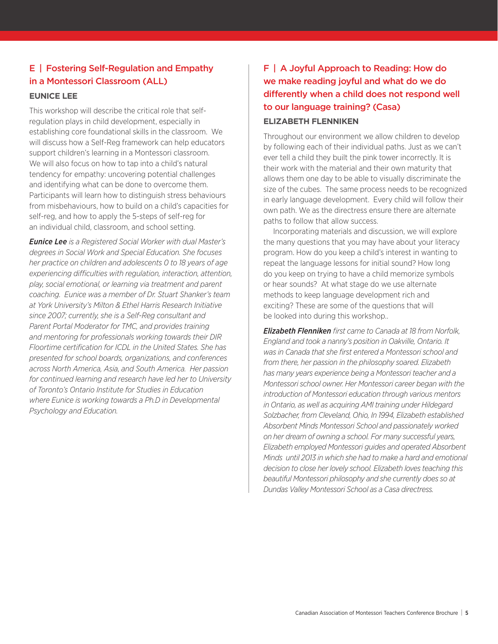# E | Fostering Self-Regulation and Empathy in a Montessori Classroom (ALL)

#### **Eunice Lee**

This workshop will describe the critical role that selfregulation plays in child development, especially in establishing core foundational skills in the classroom. We will discuss how a Self-Reg framework can help educators support children's learning in a Montessori classroom. We will also focus on how to tap into a child's natural tendency for empathy: uncovering potential challenges and identifying what can be done to overcome them. Participants will learn how to distinguish stress behaviours from misbehaviours, how to build on a child's capacities for self-reg, and how to apply the 5-steps of self-reg for an individual child, classroom, and school setting.

*Eunice Lee is a Registered Social Worker with dual Master's degrees in Social Work and Special Education. She focuses her practice on children and adolescents 0 to 18 years of age experiencing difficulties with regulation, interaction, attention, play, social emotional, or learning via treatment and parent coaching. Eunice was a member of Dr. Stuart Shanker's team at York University's Milton & Ethel Harris Research Initiative since 2007; currently, she is a Self-Reg consultant and Parent Portal Moderator for TMC, and provides training and mentoring for professionals working towards their DIR Floortime certification for ICDL in the United States. She has presented for school boards, organizations, and conferences across North America, Asia, and South America. Her passion for continued learning and research have led her to University of Toronto's Ontario Institute for Studies in Education where Eunice is working towards a Ph.D in Developmental Psychology and Education.*

# F | A Joyful Approach to Reading: How do we make reading joyful and what do we do differently when a child does not respond well to our language training? (Casa)

#### **Elizabeth Flenniken**

Throughout our environment we allow children to develop by following each of their individual paths. Just as we can't ever tell a child they built the pink tower incorrectly. It is their work with the material and their own maturity that allows them one day to be able to visually discriminate the size of the cubes. The same process needs to be recognized in early language development. Every child will follow their own path. We as the directress ensure there are alternate paths to follow that allow success.

Incorporating materials and discussion, we will explore the many questions that you may have about your literacy program. How do you keep a child's interest in wanting to repeat the language lessons for initial sound? How long do you keep on trying to have a child memorize symbols or hear sounds? At what stage do we use alternate methods to keep language development rich and exciting? These are some of the questions that will be looked into during this workshop..

*Elizabeth Flenniken first came to Canada at 18 from Norfolk, England and took a nanny's position in Oakville, Ontario. It was in Canada that she first entered a Montessori school and from there, her passion in the philosophy soared. Elizabeth has many years experience being a Montessori teacher and a Montessori school owner. Her Montessori career began with the introduction of Montessori education through various mentors in Ontario, as well as acquiring AMI training under Hildegard Solzbacher, from Cleveland, Ohio, In 1994, Elizabeth established Absorbent Minds Montessori School and passionately worked on her dream of owning a school. For many successful years, Elizabeth employed Montessori guides and operated Absorbent Minds until 2013 in which she had to make a hard and emotional decision to close her lovely school. Elizabeth loves teaching this beautiful Montessori philosophy and she currently does so at Dundas Valley Montessori School as a Casa directress.*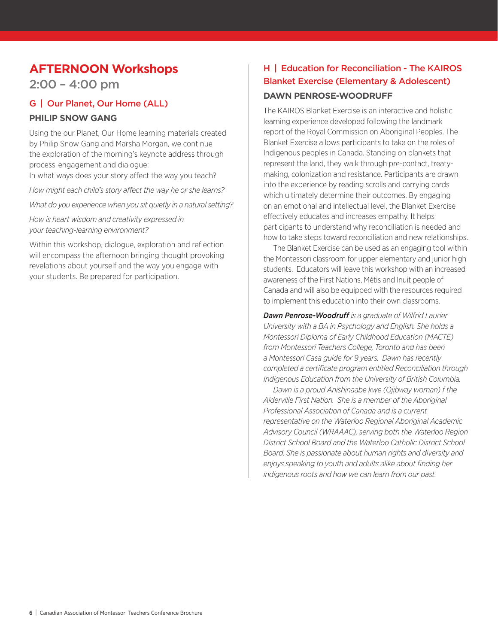# **AFTERNOON Workshops**

2:00 – 4:00 pm

## G | Our Planet, Our Home (ALL)

#### **Philip Snow Gang**

Using the our Planet, Our Home learning materials created by Philip Snow Gang and Marsha Morgan, we continue the exploration of the morning's keynote address through process-engagement and dialogue: In what ways does your story affect the way you teach?

*How might each child's story affect the way he or she learns?*

*What do you experience when you sit quietly in a natural setting?*

*How is heart wisdom and creativity expressed in your teaching-learning environment?*

Within this workshop, dialogue, exploration and reflection will encompass the afternoon bringing thought provoking revelations about yourself and the way you engage with your students. Be prepared for participation.

# H | Education for Reconciliation - The KAIROS Blanket Exercise (Elementary & Adolescent)

#### **Dawn Penrose-Woodruff**

The KAIROS Blanket Exercise is an interactive and holistic learning experience developed following the landmark report of the Royal Commission on Aboriginal Peoples. The Blanket Exercise allows participants to take on the roles of Indigenous peoples in Canada. Standing on blankets that represent the land, they walk through pre-contact, treatymaking, colonization and resistance. Participants are drawn into the experience by reading scrolls and carrying cards which ultimately determine their outcomes. By engaging on an emotional and intellectual level, the Blanket Exercise effectively educates and increases empathy. It helps participants to understand why reconciliation is needed and how to take steps toward reconciliation and new relationships.

The Blanket Exercise can be used as an engaging tool within the Montessori classroom for upper elementary and junior high students. Educators will leave this workshop with an increased awareness of the First Nations, Métis and Inuit people of Canada and will also be equipped with the resources required to implement this education into their own classrooms.

*Dawn Penrose-Woodruff is a graduate of Wilfrid Laurier University with a BA in Psychology and English. She holds a Montessori Diploma of Early Childhood Education (MACTE) from Montessori Teachers College, Toronto and has been a Montessori Casa guide for 9 years. Dawn has recently completed a certificate program entitled Reconciliation through Indigenous Education from the University of British Columbia.* 

*Dawn is a proud Anishinaabe kwe (Ojibway woman) f the Alderville First Nation. She is a member of the Aboriginal Professional Association of Canada and is a current representative on the Waterloo Regional Aboriginal Academic Advisory Council (WRAAAC), serving both the Waterloo Region District School Board and the Waterloo Catholic District School Board. She is passionate about human rights and diversity and enjoys speaking to youth and adults alike about finding her indigenous roots and how we can learn from our past.*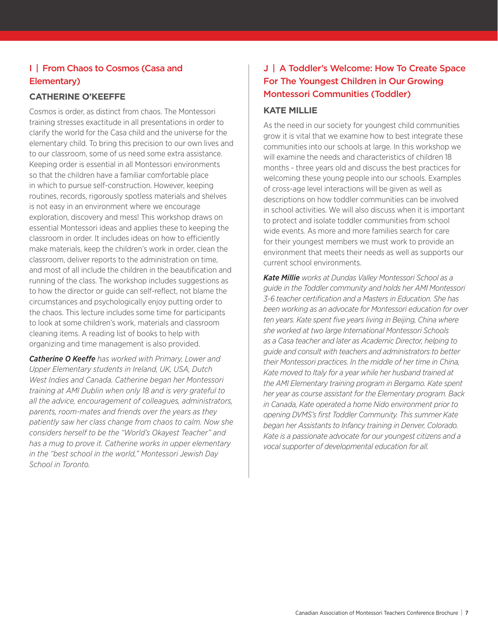## I | From Chaos to Cosmos (Casa and Elementary)

#### **Catherine O'Keeffe**

Cosmos is order, as distinct from chaos. The Montessori training stresses exactitude in all presentations in order to clarify the world for the Casa child and the universe for the elementary child. To bring this precision to our own lives and to our classroom, some of us need some extra assistance. Keeping order is essential in all Montessori environments so that the children have a familiar comfortable place in which to pursue self-construction. However, keeping routines, records, rigorously spotless materials and shelves is not easy in an environment where we encourage exploration, discovery and mess! This workshop draws on essential Montessori ideas and applies these to keeping the classroom in order. It includes ideas on how to efficiently make materials, keep the children's work in order, clean the classroom, deliver reports to the administration on time, and most of all include the children in the beautification and running of the class. The workshop includes suggestions as to how the director or guide can self-reflect, not blame the circumstances and psychologically enjoy putting order to the chaos. This lecture includes some time for participants to look at some children's work, materials and classroom cleaning items. A reading list of books to help with organizing and time management is also provided.

*Catherine O Keeffe has worked with Primary, Lower and Upper Elementary students in Ireland, UK, USA, Dutch West Indies and Canada. Catherine began her Montessori training at AMI Dublin when only 18 and is very grateful to all the advice, encouragement of colleagues, administrators, parents, room-mates and friends over the years as they patiently saw her class change from chaos to calm. Now she considers herself to be the "World's Okayest Teacher" and has a mug to prove it. Catherine works in upper elementary in the "best school in the world," Montessori Jewish Day School in Toronto.*

# J | A Toddler's Welcome: How To Create Space For The Youngest Children in Our Growing Montessori Communities (Toddler)

#### **Kate Millie**

As the need in our society for youngest child communities grow it is vital that we examine how to best integrate these communities into our schools at large. In this workshop we will examine the needs and characteristics of children 18 months - three years old and discuss the best practices for welcoming these young people into our schools. Examples of cross-age level interactions will be given as well as descriptions on how toddler communities can be involved in school activities. We will also discuss when it is important to protect and isolate toddler communities from school wide events. As more and more families search for care for their youngest members we must work to provide an environment that meets their needs as well as supports our current school environments.

*Kate Millie works at Dundas Valley Montessori School as a guide in the Toddler community and holds her AMI Montessori 3-6 teacher certification and a Masters in Education. She has been working as an advocate for Montessori education for over ten years. Kate spent five years living in Beijing, China where she worked at two large International Montessori Schools as a Casa teacher and later as Academic Director, helping to guide and consult with teachers and administrators to better their Montessori practices. In the middle of her time in China, Kate moved to Italy for a year while her husband trained at the AMI Elementary training program in Bergamo. Kate spent her year as course assistant for the Elementary program. Back in Canada, Kate operated a home Nido environment prior to opening DVMS's first Toddler Community. This summer Kate began her Assistants to Infancy training in Denver, Colorado. Kate is a passionate advocate for our youngest citizens and a vocal supporter of developmental education for all.*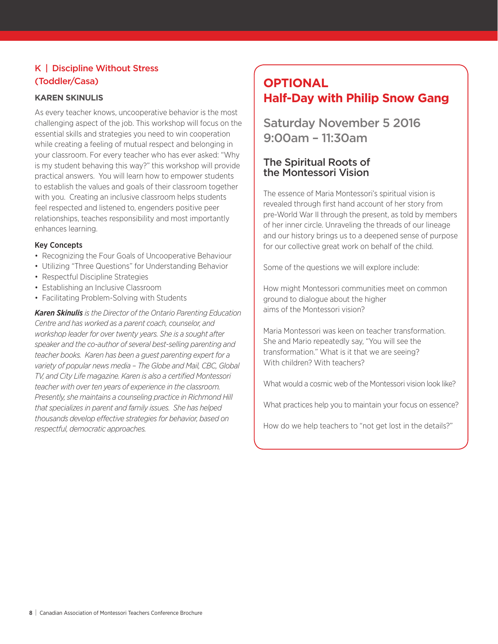## K | Discipline Without Stress (Toddler/Casa)

#### **Karen Skinulis**

As every teacher knows, uncooperative behavior is the most challenging aspect of the job. This workshop will focus on the essential skills and strategies you need to win cooperation while creating a feeling of mutual respect and belonging in your classroom. For every teacher who has ever asked: "Why is my student behaving this way?" this workshop will provide practical answers. You will learn how to empower students to establish the values and goals of their classroom together with you. Creating an inclusive classroom helps students feel respected and listened to, engenders positive peer relationships, teaches responsibility and most importantly enhances learning.

#### Key Concepts

- Recognizing the Four Goals of Uncooperative Behaviour
- Utilizing "Three Questions" for Understanding Behavior
- Respectful Discipline Strategies
- Establishing an Inclusive Classroom
- Facilitating Problem-Solving with Students

*Karen Skinulis is the Director of the Ontario Parenting Education Centre and has worked as a parent coach, counselor, and workshop leader for over twenty years. She is a sought after speaker and the co-author of several best-selling parenting and teacher books. Karen has been a guest parenting expert for a variety of popular news media – The Globe and Mail, CBC, Global TV, and City Life magazine. Karen is also a certified Montessori teacher with over ten years of experience in the classroom. Presently, she maintains a counseling practice in Richmond Hill that specializes in parent and family issues. She has helped thousands develop effective strategies for behavior, based on respectful, democratic approaches.*

# **OPTIONAL Half-Day with Philip Snow Gang**

Saturday November 5 2016 9:00am – 11:30am

#### The Spiritual Roots of the Montessori Vision

The essence of Maria Montessori's spiritual vision is revealed through first hand account of her story from pre-World War II through the present, as told by members of her inner circle. Unraveling the threads of our lineage and our history brings us to a deepened sense of purpose for our collective great work on behalf of the child.

Some of the questions we will explore include:

How might Montessori communities meet on common ground to dialogue about the higher aims of the Montessori vision?

Maria Montessori was keen on teacher transformation. She and Mario repeatedly say, "You will see the transformation." What is it that we are seeing? With children? With teachers?

What would a cosmic web of the Montessori vision look like?

What practices help you to maintain your focus on essence?

How do we help teachers to "not get lost in the details?"